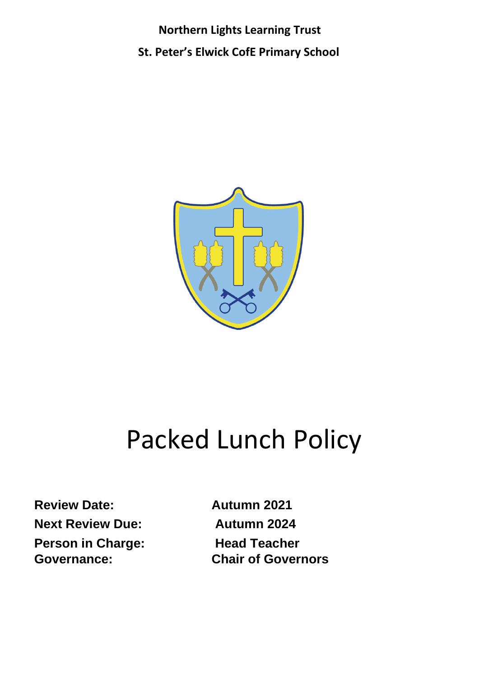**Northern Lights Learning Trust**

**St. Peter's Elwick CofE Primary School**



# Packed Lunch Policy

**Review Date: Autumn 2021 Next Review Due:** Autumn 2024 **Person in Charge:** Head Teacher

**Governance: Chair of Governors**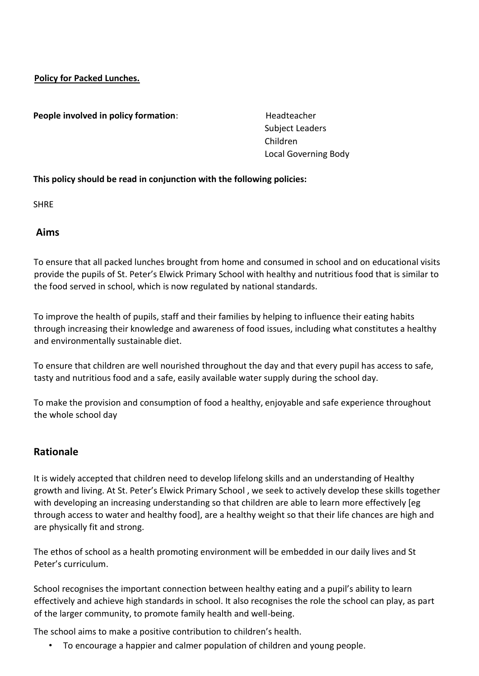**Policy for Packed Lunches.**

**People involved in policy formation:** Headteacher

 Subject Leaders Children Local Governing Body

#### **This policy should be read in conjunction with the following policies:**

**SHRE** 

**Aims**

To ensure that all packed lunches brought from home and consumed in school and on educational visits provide the pupils of St. Peter's Elwick Primary School with healthy and nutritious food that is similar to the food served in school, which is now regulated by national standards.

To improve the health of pupils, staff and their families by helping to influence their eating habits through increasing their knowledge and awareness of food issues, including what constitutes a healthy and environmentally sustainable diet.

To ensure that children are well nourished throughout the day and that every pupil has access to safe, tasty and nutritious food and a safe, easily available water supply during the school day.

To make the provision and consumption of food a healthy, enjoyable and safe experience throughout the whole school day

# **Rationale**

It is widely accepted that children need to develop lifelong skills and an understanding of Healthy growth and living. At St. Peter's Elwick Primary School , we seek to actively develop these skills together with developing an increasing understanding so that children are able to learn more effectively [eg through access to water and healthy food], are a healthy weight so that their life chances are high and are physically fit and strong.

The ethos of school as a health promoting environment will be embedded in our daily lives and St Peter's curriculum.

School recognises the important connection between healthy eating and a pupil's ability to learn effectively and achieve high standards in school. It also recognises the role the school can play, as part of the larger community, to promote family health and well-being.

The school aims to make a positive contribution to children's health.

• To encourage a happier and calmer population of children and young people.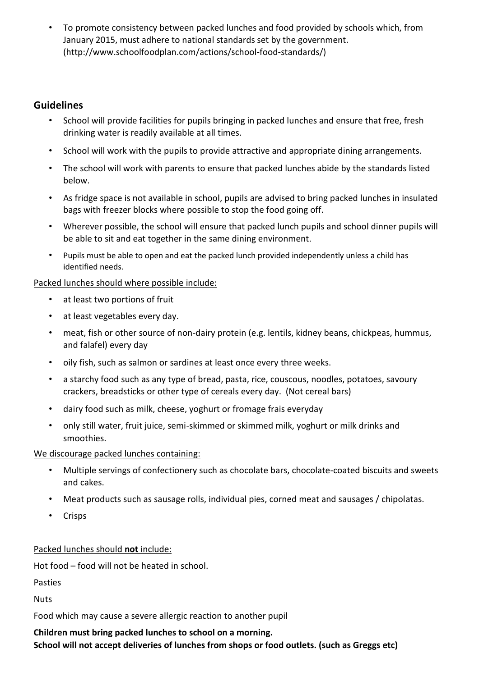• To promote consistency between packed lunches and food provided by schools which, from January 2015, must adhere to national standards set by the government. (http://www.schoolfoodplan.com/actions/school-food-standards/)

# **Guidelines**

- School will provide facilities for pupils bringing in packed lunches and ensure that free, fresh drinking water is readily available at all times.
- School will work with the pupils to provide attractive and appropriate dining arrangements.
- The school will work with parents to ensure that packed lunches abide by the standards listed below.
- As fridge space is not available in school, pupils are advised to bring packed lunches in insulated bags with freezer blocks where possible to stop the food going off.
- Wherever possible, the school will ensure that packed lunch pupils and school dinner pupils will be able to sit and eat together in the same dining environment.
- Pupils must be able to open and eat the packed lunch provided independently unless a child has identified needs.

#### Packed lunches should where possible include:

- at least two portions of fruit
- at least vegetables every day.
- meat, fish or other source of non-dairy protein (e.g. lentils, kidney beans, chickpeas, hummus, and falafel) every day
- oily fish, such as salmon or sardines at least once every three weeks.
- a starchy food such as any type of bread, pasta, rice, couscous, noodles, potatoes, savoury crackers, breadsticks or other type of cereals every day. (Not cereal bars)
- dairy food such as milk, cheese, yoghurt or fromage frais everyday
- only still water, fruit juice, semi-skimmed or skimmed milk, yoghurt or milk drinks and smoothies.

# We discourage packed lunches containing:

- Multiple servings of confectionery such as chocolate bars, chocolate-coated biscuits and sweets and cakes.
- Meat products such as sausage rolls, individual pies, corned meat and sausages / chipolatas.
- Crisps

# Packed lunches should **not** include:

Hot food – food will not be heated in school.

Pasties

**Nuts** 

Food which may cause a severe allergic reaction to another pupil

#### **Children must bring packed lunches to school on a morning.**

**School will not accept deliveries of lunches from shops or food outlets. (such as Greggs etc)**